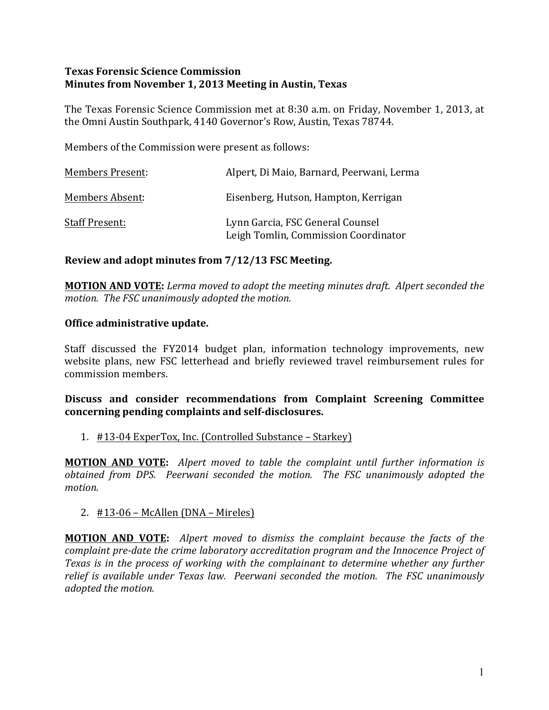## **Texas Forensic Science Commission Minutes from November 1, 2013 Meeting in Austin, Texas**

The Texas Forensic Science Commission met at 8:30 a.m. on Friday, November 1, 2013, at the Omni Austin Southpark, 4140 Governor's Row, Austin, Texas 78744.

Members of the Commission were present as follows:

| <b>Members Present:</b> | Alpert, Di Maio, Barnard, Peerwani, Lerma                                |
|-------------------------|--------------------------------------------------------------------------|
| Members Absent:         | Eisenberg, Hutson, Hampton, Kerrigan                                     |
| <b>Staff Present:</b>   | Lynn Garcia, FSC General Counsel<br>Leigh Tomlin, Commission Coordinator |

# **Review and adopt minutes from**  $7/12/13$  **FSC Meeting.**

**MOTION AND VOTE:** Lerma moved to adopt the meeting minutes draft. Alpert seconded the *motion.* The FSC unanimously adopted the motion.

# **Office administrative update.**

Staff discussed the FY2014 budget plan, information technology improvements, new website plans, new FSC letterhead and briefly reviewed travel reimbursement rules for commission members.

# Discuss and consider recommendations from Complaint Screening Committee concerning pending complaints and self-disclosures.

# 1. #13-04 ExperTox, Inc. (Controlled Substance – Starkey)

**MOTION AND VOTE:** Alpert moved to table the complaint until further information is *obtained from DPS. Peerwani seconded the motion. The FSC unanimously adopted the motion.*

2.  $\#13-06$  – McAllen (DNA – Mireles)

**MOTION AND VOTE:** Alpert moved to dismiss the complaint because the facts of the *complaint pre-date the crime laboratory accreditation program and the Innocence Project of Texas* is in the process of working with the complainant to determine whether any further *relief* is available under Texas law. Peerwani seconded the motion. The FSC unanimously *adopted the motion.*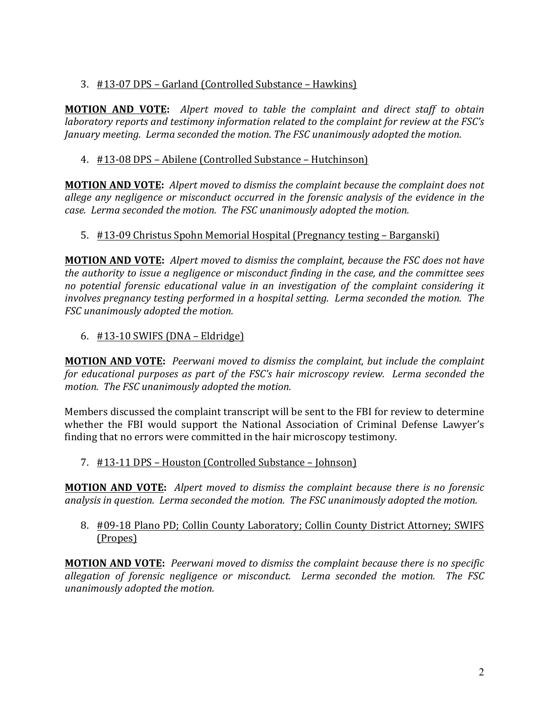# 3. #13-07 DPS – Garland (Controlled Substance – Hawkins)

**MOTION AND VOTE:** Alpert moved to table the complaint and direct staff to obtain *laboratory reports and testimony information related to the complaint for review at the FSC's January meeting. Lerma seconded the motion. The FSC unanimously adopted the motion.* 

# 4. #13-08 DPS - Abilene (Controlled Substance - Hutchinson)

**MOTION AND VOTE:** Alpert moved to dismiss the complaint because the complaint does not allege any negligence or misconduct occurred in the forensic analysis of the evidence in the *case. Lerma seconded the motion. The FSC unanimously adopted the motion.*

# 5. #13-09 Christus Spohn Memorial Hospital (Pregnancy testing – Barganski)

**MOTION AND VOTE:** Alpert moved to dismiss the complaint, because the FSC does not have *the authority to issue a negligence or misconduct finding in the case, and the committee sees no potential forensic educational value in an investigation of the complaint considering it involves pregnancy testing performed in a hospital setting. Lerma seconded the motion. The FSC unanimously adopted the motion.* 

6.  $\#13-10$  SWIFS (DNA – Eldridge)

**MOTION AND VOTE:** Peerwani moved to dismiss the complaint, but include the complaint *for educational purposes as part of the FSC's hair microscopy review. Lerma seconded the motion.* The FSC unanimously adopted the motion.

Members discussed the complaint transcript will be sent to the FBI for review to determine whether the FBI would support the National Association of Criminal Defense Lawyer's finding that no errors were committed in the hair microscopy testimony.

# 7. #13-11 DPS – Houston (Controlled Substance – Johnson)

**MOTION AND VOTE:** Alpert moved to dismiss the complaint because there is no forensic *analysis in question. Lerma seconded the motion. The FSC unanimously adopted the motion.* 

# 8. #09-18 Plano PD; Collin County Laboratory; Collin County District Attorney; SWIFS (Propes)

**MOTION AND VOTE:** Peerwani moved to dismiss the complaint because there is no specific *allegation of forensic negligence or misconduct. Lerma seconded the motion. The FSC unanimously adopted the motion.*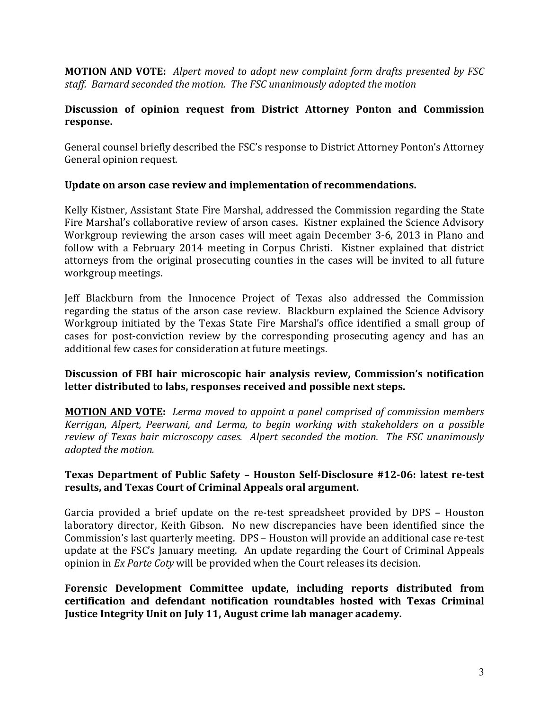**MOTION AND VOTE:** Alpert moved to adopt new complaint form drafts presented by FSC staff. Barnard seconded the motion. The FSC unanimously adopted the motion

## Discussion of opinion request from District Attorney Ponton and Commission **response.**

General counsel briefly described the FSC's response to District Attorney Ponton's Attorney General opinion request.

# Update on arson case review and implementation of recommendations.

Kelly Kistner, Assistant State Fire Marshal, addressed the Commission regarding the State Fire Marshal's collaborative review of arson cases. Kistner explained the Science Advisory Workgroup reviewing the arson cases will meet again December 3-6, 2013 in Plano and follow with a February 2014 meeting in Corpus Christi. Kistner explained that district attorneys from the original prosecuting counties in the cases will be invited to all future workgroup meetings.

Jeff Blackburn from the Innocence Project of Texas also addressed the Commission regarding the status of the arson case review. Blackburn explained the Science Advisory Workgroup initiated by the Texas State Fire Marshal's office identified a small group of cases for post-conviction review by the corresponding prosecuting agency and has an additional few cases for consideration at future meetings.

#### **Discussion of FBI hair microscopic hair analysis review, Commission's notification** letter distributed to labs, responses received and possible next steps.

**MOTION AND VOTE:** Lerma moved to appoint a panel comprised of commission members *Kerrigan, Alpert, Peerwani, and Lerma, to begin working with stakeholders on a possible review of Texas hair microscopy cases. Alpert seconded the motion. The FSC unanimously adopted the motion.* 

#### **Texas Department of Public Safety - Houston Self-Disclosure #12-06: latest re-test** results, and Texas Court of Criminal Appeals oral argument.

Garcia provided a brief update on the re-test spreadsheet provided by DPS - Houston laboratory director, Keith Gibson. No new discrepancies have been identified since the Commission's last quarterly meeting. DPS – Houston will provide an additional case re-test update at the FSC's January meeting. An update regarding the Court of Criminal Appeals opinion in *Ex Parte Coty* will be provided when the Court releases its decision.

Forensic Development Committee update, including reports distributed from **certification and defendant notification roundtables hosted with Texas Criminal Justice Integrity Unit on July 11, August crime lab manager academy.**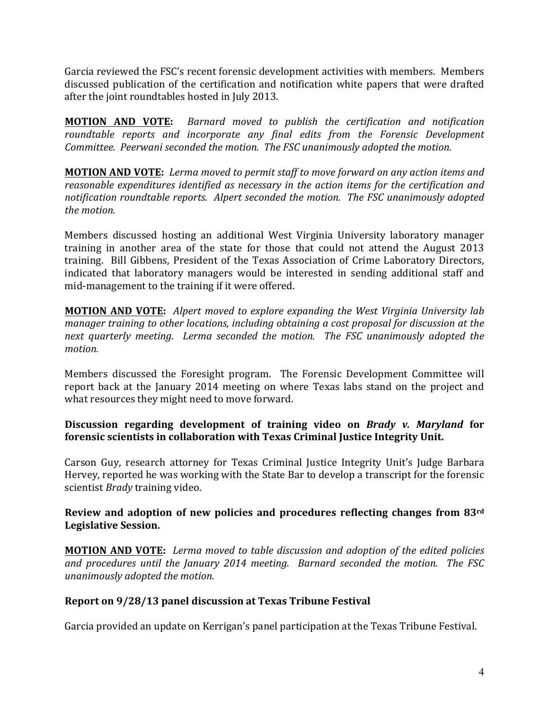Garcia reviewed the FSC's recent forensic development activities with members. Members discussed publication of the certification and notification white papers that were drafted after the joint roundtables hosted in July 2013.

**MOTION AND VOTE:** Barnard moved to publish the certification and notification roundtable reports and incorporate any final edits from the Forensic Development *Committee. Peerwani seconded the motion. The FSC unanimously adopted the motion.* 

**MOTION AND VOTE:** Lerma moved to permit staff to move forward on any action items and *reasonable expenditures identified as necessary in the action items for the certification and* notification roundtable reports. Alpert seconded the motion. The FSC unanimously adopted the *motion*.

Members discussed hosting an additional West Virginia University laboratory manager training in another area of the state for those that could not attend the August 2013 training. Bill Gibbens, President of the Texas Association of Crime Laboratory Directors, indicated that laboratory managers would be interested in sending additional staff and mid-management to the training if it were offered.

**MOTION AND VOTE:** Alpert moved to explore expanding the West Virginia University lab *manager training to other locations, including obtaining a cost proposal for discussion at the* next quarterly meeting. Lerma seconded the motion. The FSC unanimously adopted the *motion.*

Members discussed the Foresight program. The Forensic Development Committee will report back at the January 2014 meeting on where Texas labs stand on the project and what resources they might need to move forward.

# **Discussion regarding development of training video on** *Brady v. Maryland* **for forensic scientists in collaboration with Texas Criminal Justice Integrity Unit.**

Carson Guy, research attorney for Texas Criminal Justice Integrity Unit's Judge Barbara Hervey, reported he was working with the State Bar to develop a transcript for the forensic scientist *Brady* training video.

# Review and adoption of new policies and procedures reflecting changes from 83rd **Legislative Session.**

**MOTION AND VOTE:** Lerma moved to table discussion and adoption of the edited policies and procedures until the January 2014 meeting. Barnard seconded the motion. The FSC *unanimously adopted the motion.*

# **Report on 9/28/13 panel discussion at Texas Tribune Festival**

Garcia provided an update on Kerrigan's panel participation at the Texas Tribune Festival.